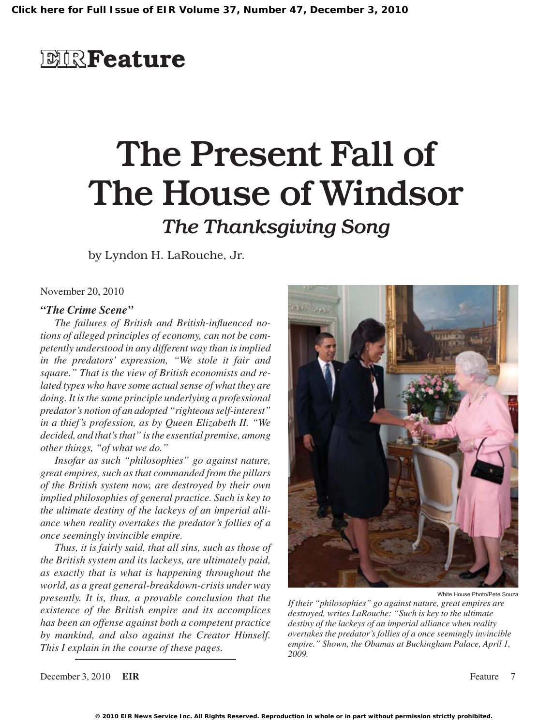## **EIRFeature**

# The Present Fall of The House of Windsor

### *The Thanksgiving Song*

by Lyndon H. LaRouche, Jr.

November 20, 2010

#### *"The Crime Scene"*

*The failures of British and British-influenced notions of alleged principles of economy, can not be competently understood in any different way than is implied in the predators' expression, "We stole it fair and square." That is the view of British economists and related types who have some actual sense of what they are doing. It is the same principle underlying a professional predator's notion of an adopted "righteous self-interest" in a thief's profession, as by Queen Elizabeth II. "We decided, and that's that" is the essential premise, among other things, "of what we do."*

*Insofar as such "philosophies" go against nature, great empires, such as that commanded from the pillars of the British system now, are destroyed by their own implied philosophies of general practice. Such is key to the ultimate destiny of the lackeys of an imperial alliance when reality overtakes the predator's follies of a once seemingly invincible empire.*

*Thus, it is fairly said, that all sins, such as those of the British system and its lackeys, are ultimately paid, as exactly that is what is happening throughout the world, as a great general-breakdown-crisis under way presently. It is, thus, a provable conclusion that the existence of the British empire and its accomplices has been an offense against both a competent practice by mankind, and also against the Creator Himself. This I explain in the course of these pages.*



White House Photo/Pete Souza

*If their "philosophies" go against nature, great empires are destroyed, writes LaRouche: "Such is key to the ultimate destiny of the lackeys of an imperial alliance when reality overtakes the predator's follies of a once seemingly invincible empire." Shown, the Obamas at Buckingham Palace, April 1, 2009.*

December 3, 2010 **EIR** Feature 7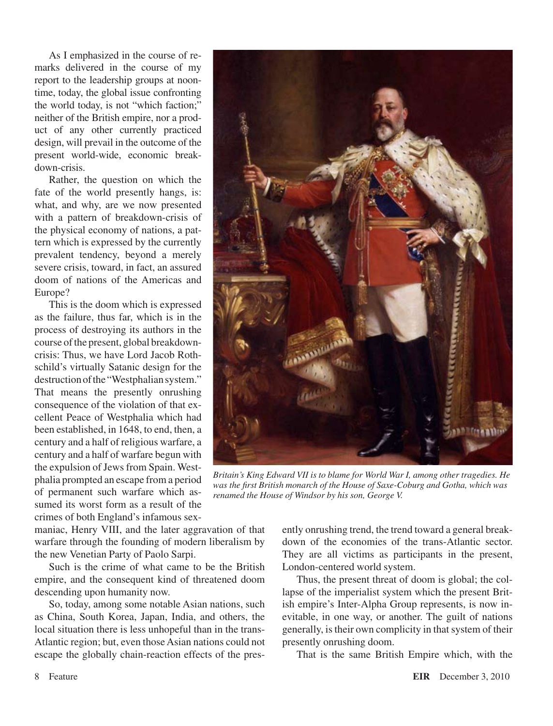As I emphasized in the course of remarks delivered in the course of my report to the leadership groups at noontime, today, the global issue confronting the world today, is not "which faction;" neither of the British empire, nor a product of any other currently practiced design, will prevail in the outcome of the present world-wide, economic breakdown-crisis.

Rather, the question on which the fate of the world presently hangs, is: what, and why, are we now presented with a pattern of breakdown-crisis of the physical economy of nations, a pattern which is expressed by the currently prevalent tendency, beyond a merely severe crisis, toward, in fact, an assured doom of nations of the Americas and Europe?

This is the doom which is expressed as the failure, thus far, which is in the process of destroying its authors in the course of the present, global breakdowncrisis: Thus, we have Lord Jacob Rothschild's virtually Satanic design for the destruction of the "Westphalian system." That means the presently onrushing consequence of the violation of that excellent Peace of Westphalia which had been established, in 1648, to end, then, a century and a half of religious warfare, a century and a half of warfare begun with the expulsion of Jews from Spain. Westphalia prompted an escape from a period of permanent such warfare which assumed its worst form as a result of the crimes of both England's infamous sex-

maniac, Henry VIII, and the later aggravation of that warfare through the founding of modern liberalism by the new Venetian Party of Paolo Sarpi.

Such is the crime of what came to be the British empire, and the consequent kind of threatened doom descending upon humanity now.

So, today, among some notable Asian nations, such as China, South Korea, Japan, India, and others, the local situation there is less unhopeful than in the trans-Atlantic region; but, even those Asian nations could not escape the globally chain-reaction effects of the pres-



*Britain's King Edward VII is to blame for World War I, among other tragedies. He was the first British monarch of the House of Saxe-Coburg and Gotha, which was renamed the House of Windsor by his son, George V.*

ently onrushing trend, the trend toward a general breakdown of the economies of the trans-Atlantic sector. They are all victims as participants in the present, London-centered world system.

Thus, the present threat of doom is global; the collapse of the imperialist system which the present British empire's Inter-Alpha Group represents, is now inevitable, in one way, or another. The guilt of nations generally, is their own complicity in that system of their presently onrushing doom.

That is the same British Empire which, with the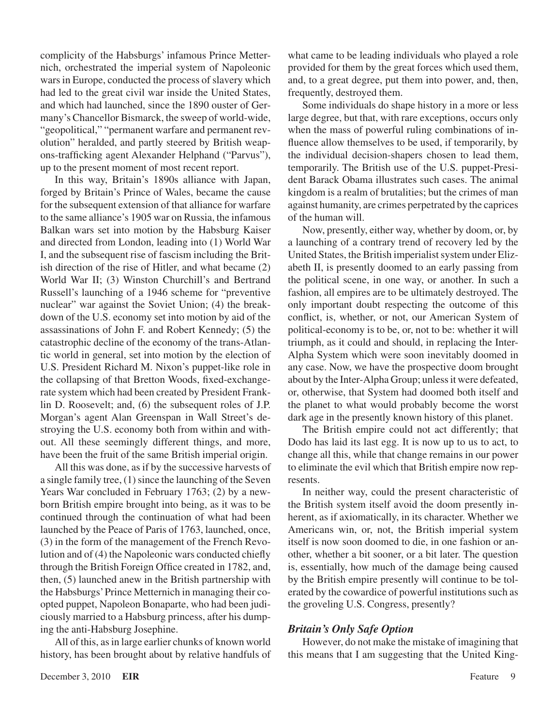complicity of the Habsburgs' infamous Prince Metternich, orchestrated the imperial system of Napoleonic wars in Europe, conducted the process of slavery which had led to the great civil war inside the United States, and which had launched, since the 1890 ouster of Germany's Chancellor Bismarck, the sweep of world-wide, "geopolitical," "permanent warfare and permanent revolution" heralded, and partly steered by British weapons-trafficking agent Alexander Helphand ("Parvus"), up to the present moment of most recent report.

In this way, Britain's 1890s alliance with Japan, forged by Britain's Prince of Wales, became the cause for the subsequent extension of that alliance for warfare to the same alliance's 1905 war on Russia, the infamous Balkan wars set into motion by the Habsburg Kaiser and directed from London, leading into (1) World War I, and the subsequent rise of fascism including the British direction of the rise of Hitler, and what became (2) World War II; (3) Winston Churchill's and Bertrand Russell's launching of a 1946 scheme for "preventive nuclear" war against the Soviet Union; (4) the breakdown of the U.S. economy set into motion by aid of the assassinations of John F. and Robert Kennedy; (5) the catastrophic decline of the economy of the trans-Atlantic world in general, set into motion by the election of U.S. President Richard M. Nixon's puppet-like role in the collapsing of that Bretton Woods, fixed-exchangerate system which had been created by President Franklin D. Roosevelt; and, (6) the subsequent roles of J.P. Morgan's agent Alan Greenspan in Wall Street's destroying the U.S. economy both from within and without. All these seemingly different things, and more, have been the fruit of the same British imperial origin.

All this was done, as if by the successive harvests of a single family tree, (1) since the launching of the Seven Years War concluded in February 1763; (2) by a newborn British empire brought into being, as it was to be continued through the continuation of what had been launched by the Peace of Paris of 1763, launched, once, (3) in the form of the management of the French Revolution and of (4) the Napoleonic wars conducted chiefly through the British Foreign Office created in 1782, and, then, (5) launched anew in the British partnership with the Habsburgs' Prince Metternich in managing their coopted puppet, Napoleon Bonaparte, who had been judiciously married to a Habsburg princess, after his dumping the anti-Habsburg Josephine.

All of this, as in large earlier chunks of known world history, has been brought about by relative handfuls of what came to be leading individuals who played a role provided for them by the great forces which used them, and, to a great degree, put them into power, and, then, frequently, destroyed them.

Some individuals do shape history in a more or less large degree, but that, with rare exceptions, occurs only when the mass of powerful ruling combinations of influence allow themselves to be used, if temporarily, by the individual decision-shapers chosen to lead them, temporarily. The British use of the U.S. puppet-President Barack Obama illustrates such cases. The animal kingdom is a realm of brutalities; but the crimes of man against humanity, are crimes perpetrated by the caprices of the human will.

Now, presently, either way, whether by doom, or, by a launching of a contrary trend of recovery led by the United States, the British imperialist system under Elizabeth II, is presently doomed to an early passing from the political scene, in one way, or another. In such a fashion, all empires are to be ultimately destroyed. The only important doubt respecting the outcome of this conflict, is, whether, or not, our American System of political-economy is to be, or, not to be: whether it will triumph, as it could and should, in replacing the Inter-Alpha System which were soon inevitably doomed in any case. Now, we have the prospective doom brought about by the Inter-Alpha Group; unless it were defeated, or, otherwise, that System had doomed both itself and the planet to what would probably become the worst dark age in the presently known history of this planet.

The British empire could not act differently; that Dodo has laid its last egg. It is now up to us to act, to change all this, while that change remains in our power to eliminate the evil which that British empire now represents.

In neither way, could the present characteristic of the British system itself avoid the doom presently inherent, as if axiomatically, in its character. Whether we Americans win, or, not, the British imperial system itself is now soon doomed to die, in one fashion or another, whether a bit sooner, or a bit later. The question is, essentially, how much of the damage being caused by the British empire presently will continue to be tolerated by the cowardice of powerful institutions such as the groveling U.S. Congress, presently?

#### *Britain's Only Safe Option*

However, do not make the mistake of imagining that this means that I am suggesting that the United King-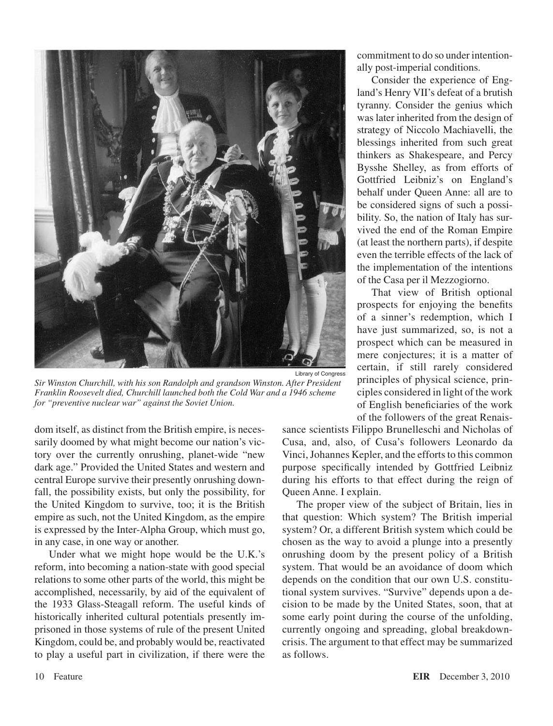

*Sir Winston Churchill, with his son Randolph and grandson Winston. After President Franklin Roosevelt died, Churchill launched both the Cold War and a 1946 scheme for "preventive nuclear war" against the Soviet Union.*

dom itself, as distinct from the British empire, is necessarily doomed by what might become our nation's victory over the currently onrushing, planet-wide "new dark age." Provided the United States and western and central Europe survive their presently onrushing downfall, the possibility exists, but only the possibility, for the United Kingdom to survive, too; it is the British empire as such, not the United Kingdom, as the empire is expressed by the Inter-Alpha Group, which must go, in any case, in one way or another.

Under what we might hope would be the U.K.'s reform, into becoming a nation-state with good special relations to some other parts of the world, this might be accomplished, necessarily, by aid of the equivalent of the 1933 Glass-Steagall reform. The useful kinds of historically inherited cultural potentials presently imprisoned in those systems of rule of the present United Kingdom, could be, and probably would be, reactivated to play a useful part in civilization, if there were the

commitment to do so under intentionally post-imperial conditions.

Consider the experience of England's Henry VII's defeat of a brutish tyranny. Consider the genius which was later inherited from the design of strategy of Niccolo Machiavelli, the blessings inherited from such great thinkers as Shakespeare, and Percy Bysshe Shelley, as from efforts of Gottfried Leibniz's on England's behalf under Queen Anne: all are to be considered signs of such a possibility. So, the nation of Italy has survived the end of the Roman Empire (at least the northern parts), if despite even the terrible effects of the lack of the implementation of the intentions of the Casa per il Mezzogiorno.

That view of British optional prospects for enjoying the benefits of a sinner's redemption, which I have just summarized, so, is not a prospect which can be measured in mere conjectures; it is a matter of certain, if still rarely considered principles of physical science, principles considered in light of the work of English beneficiaries of the work of the followers of the great Renais-

sance scientists Filippo Brunelleschi and Nicholas of Cusa, and, also, of Cusa's followers Leonardo da Vinci, Johannes Kepler, and the efforts to this common purpose specifically intended by Gottfried Leibniz during his efforts to that effect during the reign of Queen Anne. I explain.

The proper view of the subject of Britain, lies in that question: Which system? The British imperial system? Or, a different British system which could be chosen as the way to avoid a plunge into a presently onrushing doom by the present policy of a British system. That would be an avoidance of doom which depends on the condition that our own U.S. constitutional system survives. "Survive" depends upon a decision to be made by the United States, soon, that at some early point during the course of the unfolding, currently ongoing and spreading, global breakdowncrisis. The argument to that effect may be summarized as follows.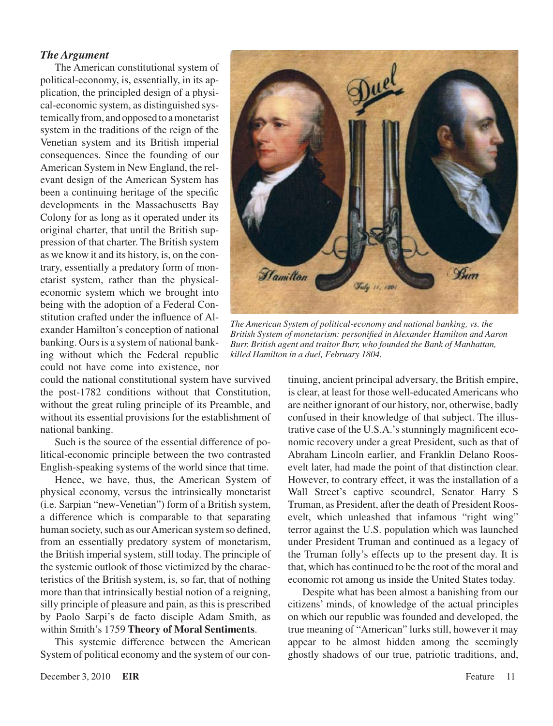#### *The Argument*

The American constitutional system of political-economy, is, essentially, in its application, the principled design of a physical-economic system, as distinguished systemically from, and opposed to a monetarist system in the traditions of the reign of the Venetian system and its British imperial consequences. Since the founding of our American System in New England, the relevant design of the American System has been a continuing heritage of the specific developments in the Massachusetts Bay Colony for as long as it operated under its original charter, that until the British suppression of that charter. The British system as we know it and its history, is, on the contrary, essentially a predatory form of monetarist system, rather than the physicaleconomic system which we brought into being with the adoption of a Federal Constitution crafted under the influence of Alexander Hamilton's conception of national banking. Ours is a system of national banking without which the Federal republic could not have come into existence, nor

could the national constitutional system have survived the post-1782 conditions without that Constitution, without the great ruling principle of its Preamble, and without its essential provisions for the establishment of national banking.

Such is the source of the essential difference of political-economic principle between the two contrasted English-speaking systems of the world since that time.

Hence, we have, thus, the American System of physical economy, versus the intrinsically monetarist (i.e. Sarpian "new-Venetian") form of a British system, a difference which is comparable to that separating human society, such as our American system so defined, from an essentially predatory system of monetarism, the British imperial system, still today. The principle of the systemic outlook of those victimized by the characteristics of the British system, is, so far, that of nothing more than that intrinsically bestial notion of a reigning, silly principle of pleasure and pain, as this is prescribed by Paolo Sarpi's de facto disciple Adam Smith, as within Smith's 1759 **Theory of Moral Sentiments**.

This systemic difference between the American System of political economy and the system of our con-



*The American System of political-economy and national banking, vs. the British System of monetarism: personified in Alexander Hamilton and Aaron Burr. British agent and traitor Burr, who founded the Bank of Manhattan, killed Hamilton in a duel, February 1804.*

tinuing, ancient principal adversary, the British empire, is clear, at least for those well-educated Americans who are neither ignorant of our history, nor, otherwise, badly confused in their knowledge of that subject. The illustrative case of the U.S.A.'s stunningly magnificent economic recovery under a great President, such as that of Abraham Lincoln earlier, and Franklin Delano Roosevelt later, had made the point of that distinction clear. However, to contrary effect, it was the installation of a Wall Street's captive scoundrel, Senator Harry S Truman, as President, after the death of President Roosevelt, which unleashed that infamous "right wing" terror against the U.S. population which was launched under President Truman and continued as a legacy of the Truman folly's effects up to the present day. It is that, which has continued to be the root of the moral and economic rot among us inside the United States today.

Despite what has been almost a banishing from our citizens' minds, of knowledge of the actual principles on which our republic was founded and developed, the true meaning of "American" lurks still, however it may appear to be almost hidden among the seemingly ghostly shadows of our true, patriotic traditions, and,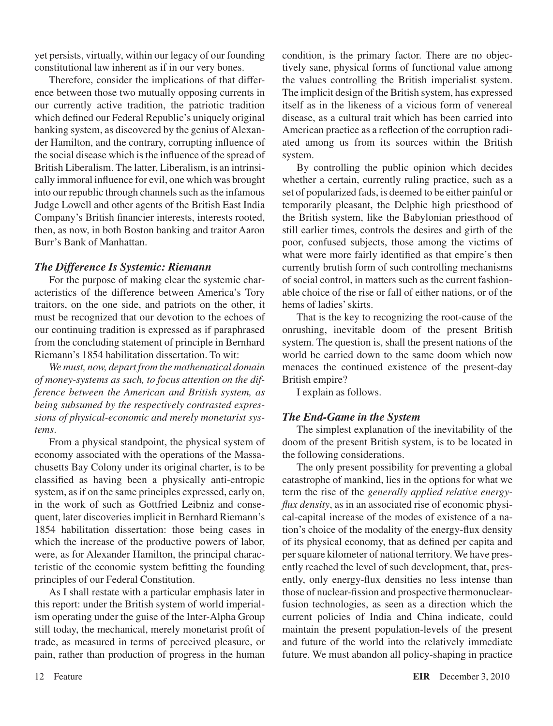yet persists, virtually, within our legacy of our founding constitutional law inherent as if in our very bones.

Therefore, consider the implications of that difference between those two mutually opposing currents in our currently active tradition, the patriotic tradition which defined our Federal Republic's uniquely original banking system, as discovered by the genius of Alexander Hamilton, and the contrary, corrupting influence of the social disease which is the influence of the spread of British Liberalism. The latter, Liberalism, is an intrinsically immoral influence for evil, one which was brought into our republic through channels such as the infamous Judge Lowell and other agents of the British East India Company's British financier interests, interests rooted, then, as now, in both Boston banking and traitor Aaron Burr's Bank of Manhattan.

#### *The Difference Is Systemic: Riemann*

For the purpose of making clear the systemic characteristics of the difference between America's Tory traitors, on the one side, and patriots on the other, it must be recognized that our devotion to the echoes of our continuing tradition is expressed as if paraphrased from the concluding statement of principle in Bernhard Riemann's 1854 habilitation dissertation. To wit:

*We must, now, depart from the mathematical domain of money-systems as such, to focus attention on the difference between the American and British system, as being subsumed by the respectively contrasted expressions of physical-economic and merely monetarist systems*.

From a physical standpoint, the physical system of economy associated with the operations of the Massachusetts Bay Colony under its original charter, is to be classified as having been a physically anti-entropic system, as if on the same principles expressed, early on, in the work of such as Gottfried Leibniz and consequent, later discoveries implicit in Bernhard Riemann's 1854 habilitation dissertation: those being cases in which the increase of the productive powers of labor, were, as for Alexander Hamilton, the principal characteristic of the economic system befitting the founding principles of our Federal Constitution.

As I shall restate with a particular emphasis later in this report: under the British system of world imperialism operating under the guise of the Inter-Alpha Group still today, the mechanical, merely monetarist profit of trade, as measured in terms of perceived pleasure, or pain, rather than production of progress in the human condition, is the primary factor. There are no objectively sane, physical forms of functional value among the values controlling the British imperialist system. The implicit design of the British system, has expressed itself as in the likeness of a vicious form of venereal disease, as a cultural trait which has been carried into American practice as a reflection of the corruption radiated among us from its sources within the British system.

By controlling the public opinion which decides whether a certain, currently ruling practice, such as a set of popularized fads, is deemed to be either painful or temporarily pleasant, the Delphic high priesthood of the British system, like the Babylonian priesthood of still earlier times, controls the desires and girth of the poor, confused subjects, those among the victims of what were more fairly identified as that empire's then currently brutish form of such controlling mechanisms of social control, in matters such as the current fashionable choice of the rise or fall of either nations, or of the hems of ladies' skirts.

That is the key to recognizing the root-cause of the onrushing, inevitable doom of the present British system. The question is, shall the present nations of the world be carried down to the same doom which now menaces the continued existence of the present-day British empire?

I explain as follows.

#### *The End-Game in the System*

The simplest explanation of the inevitability of the doom of the present British system, is to be located in the following considerations.

The only present possibility for preventing a global catastrophe of mankind, lies in the options for what we term the rise of the *generally applied relative energyflux density*, as in an associated rise of economic physical-capital increase of the modes of existence of a nation's choice of the modality of the energy-flux density of its physical economy, that as defined per capita and per square kilometer of national territory. We have presently reached the level of such development, that, presently, only energy-flux densities no less intense than those of nuclear-fission and prospective thermonuclearfusion technologies, as seen as a direction which the current policies of India and China indicate, could maintain the present population-levels of the present and future of the world into the relatively immediate future. We must abandon all policy-shaping in practice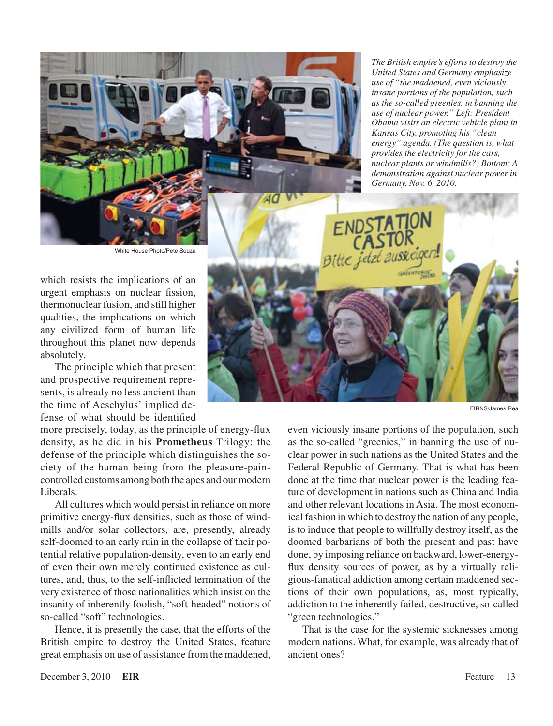*The British empire's efforts to destroy the United States and Germany emphasize use of "the maddened, even viciously insane portions of the population, such as the so-called greenies, in banning the use of nuclear power." Left: President Obama visits an electric vehicle plant in Kansas City, promoting his "clean energy" agenda. (The question is, what provides the electricity for the cars, nuclear plants or windmills?) Bottom: A demonstration against nuclear power in Germany, Nov. 6, 2010.*

White House Photo/Pete Souza

which resists the implications of an urgent emphasis on nuclear fission, thermonuclear fusion, and still higher qualities, the implications on which any civilized form of human life throughout this planet now depends absolutely.

The principle which that present and prospective requirement represents, is already no less ancient than the time of Aeschylus' implied defense of what should be identified

more precisely, today, as the principle of energy-flux density, as he did in his **Prometheus** Trilogy: the defense of the principle which distinguishes the society of the human being from the pleasure-paincontrolled customs among both the apes and our modern Liberals.

All cultures which would persist in reliance on more primitive energy-flux densities, such as those of windmills and/or solar collectors, are, presently, already self-doomed to an early ruin in the collapse of their potential relative population-density, even to an early end of even their own merely continued existence as cultures, and, thus, to the self-inflicted termination of the very existence of those nationalities which insist on the insanity of inherently foolish, "soft-headed" notions of so-called "soft" technologies.

Hence, it is presently the case, that the efforts of the British empire to destroy the United States, feature great emphasis on use of assistance from the maddened,



EIRNS/James Rea

even viciously insane portions of the population, such as the so-called "greenies," in banning the use of nuclear power in such nations as the United States and the Federal Republic of Germany. That is what has been done at the time that nuclear power is the leading feature of development in nations such as China and India and other relevant locations in Asia. The most economical fashion in which to destroy the nation of any people, is to induce that people to willfully destroy itself, as the doomed barbarians of both the present and past have done, by imposing reliance on backward, lower-energyflux density sources of power, as by a virtually religious-fanatical addiction among certain maddened sections of their own populations, as, most typically, addiction to the inherently failed, destructive, so-called "green technologies."

That is the case for the systemic sicknesses among modern nations. What, for example, was already that of ancient ones?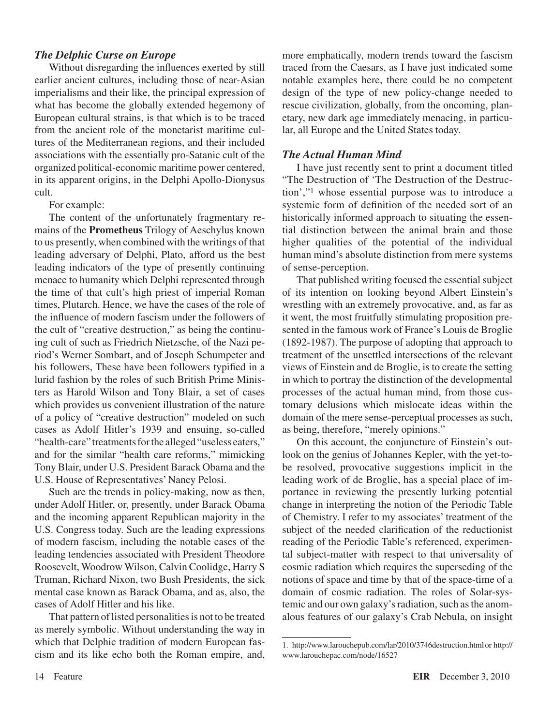#### *The Delphic Curse on Europe*

Without disregarding the influences exerted by still earlier ancient cultures, including those of near-Asian imperialisms and their like, the principal expression of what has become the globally extended hegemony of European cultural strains, is that which is to be traced from the ancient role of the monetarist maritime cultures of the Mediterranean regions, and their included associations with the essentially pro-Satanic cult of the organized political-economic maritime power centered, in its apparent origins, in the Delphi Apollo-Dionysus cult.

For example:

The content of the unfortunately fragmentary remains of the **Prometheus** Trilogy of Aeschylus known to us presently, when combined with the writings of that leading adversary of Delphi, Plato, afford us the best leading indicators of the type of presently continuing menace to humanity which Delphi represented through the time of that cult's high priest of imperial Roman times, Plutarch. Hence, we have the cases of the role of the influence of modern fascism under the followers of the cult of "creative destruction," as being the continuing cult of such as Friedrich Nietzsche, of the Nazi period's Werner Sombart, and of Joseph Schumpeter and his followers, These have been followers typified in a lurid fashion by the roles of such British Prime Ministers as Harold Wilson and Tony Blair, a set of cases which provides us convenient illustration of the nature of a policy of "creative destruction" modeled on such cases as Adolf Hitler's 1939 and ensuing, so-called "health-care" treatments for the alleged "useless eaters," and for the similar "health care reforms," mimicking Tony Blair, under U.S. President Barack Obama and the U.S. House of Representatives' Nancy Pelosi.

Such are the trends in policy-making, now as then, under Adolf Hitler, or, presently, under Barack Obama and the incoming apparent Republican majority in the U.S. Congress today. Such are the leading expressions of modern fascism, including the notable cases of the leading tendencies associated with President Theodore Roosevelt, Woodrow Wilson, Calvin Coolidge, Harry S Truman, Richard Nixon, two Bush Presidents, the sick mental case known as Barack Obama, and as, also, the cases of Adolf Hitler and his like.

That pattern of listed personalities is not to be treated as merely symbolic. Without understanding the way in which that Delphic tradition of modern European fascism and its like echo both the Roman empire, and,

more emphatically, modern trends toward the fascism traced from the Caesars, as I have just indicated some notable examples here, there could be no competent design of the type of new policy-change needed to rescue civilization, globally, from the oncoming, planetary, new dark age immediately menacing, in particular, all Europe and the United States today.

#### *The Actual Human Mind*

I have just recently sent to print a document titled "The Destruction of 'The Destruction of the Destruction',"1 whose essential purpose was to introduce a systemic form of definition of the needed sort of an historically informed approach to situating the essential distinction between the animal brain and those higher qualities of the potential of the individual human mind's absolute distinction from mere systems of sense-perception.

That published writing focused the essential subject of its intention on looking beyond Albert Einstein's wrestling with an extremely provocative, and, as far as it went, the most fruitfully stimulating proposition presented in the famous work of France's Louis de Broglie (1892-1987). The purpose of adopting that approach to treatment of the unsettled intersections of the relevant views of Einstein and de Broglie, is to create the setting in which to portray the distinction of the developmental processes of the actual human mind, from those customary delusions which mislocate ideas within the domain of the mere sense-perceptual processes as such, as being, therefore, "merely opinions."

On this account, the conjuncture of Einstein's outlook on the genius of Johannes Kepler, with the yet-tobe resolved, provocative suggestions implicit in the leading work of de Broglie, has a special place of importance in reviewing the presently lurking potential change in interpreting the notion of the Periodic Table of Chemistry. I refer to my associates' treatment of the subject of the needed clarification of the reductionist reading of the Periodic Table's referenced, experimental subject-matter with respect to that universality of cosmic radiation which requires the superseding of the notions of space and time by that of the space-time of a domain of cosmic radiation. The roles of Solar-systemic and our own galaxy's radiation, such as the anomalous features of our galaxy's Crab Nebula, on insight

<sup>1.</sup> http://www.larouchepub.com/lar/2010/3746destruction.html or http:// www.larouchepac.com/node/16527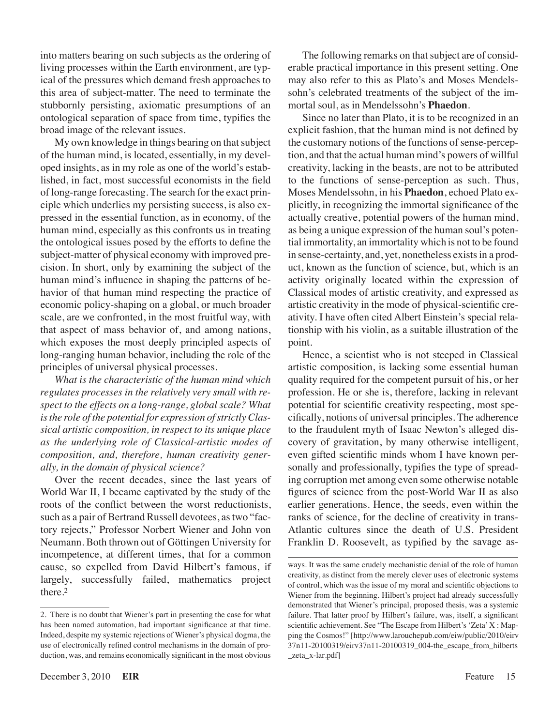into matters bearing on such subjects as the ordering of living processes within the Earth environment, are typical of the pressures which demand fresh approaches to this area of subject-matter. The need to terminate the stubbornly persisting, axiomatic presumptions of an ontological separation of space from time, typifies the broad image of the relevant issues.

My own knowledge in things bearing on that subject of the human mind, is located, essentially, in my developed insights, as in my role as one of the world's established, in fact, most successful economists in the field of long-range forecasting. The search for the exact principle which underlies my persisting success, is also expressed in the essential function, as in economy, of the human mind, especially as this confronts us in treating the ontological issues posed by the efforts to define the subject-matter of physical economy with improved precision. In short, only by examining the subject of the human mind's influence in shaping the patterns of behavior of that human mind respecting the practice of economic policy-shaping on a global, or much broader scale, are we confronted, in the most fruitful way, with that aspect of mass behavior of, and among nations, which exposes the most deeply principled aspects of long-ranging human behavior, including the role of the principles of universal physical processes.

*What is the characteristic of the human mind which regulates processes in the relatively very small with respect to the effects on a long-range, global scale? What isthe role of the potential for expression ofstrictlyClassical artistic composition, in respect to its unique place as the underlying role of Classical-artistic modes of composition, and, therefore, human creativity generally, in the domain of physical science?*

Over the recent decades, since the last years of World War II, I became captivated by the study of the roots of the conflict between the worst reductionists, such as a pair of Bertrand Russell devotees, as two "factory rejects," Professor Norbert Wiener and John von Neumann. Both thrown out of Göttingen University for incompetence, at different times, that for a common cause, so expelled from David Hilbert's famous, if largely, successfully failed, mathematics project there.2

The following remarks on that subject are of considerable practical importance in this present setting. One may also refer to this as Plato's and Moses Mendelssohn's celebrated treatments of the subject of the immortal soul, as in Mendelssohn's **Phaedon**.

Since no later than Plato, it is to be recognized in an explicit fashion, that the human mind is not defined by the customary notions of the functions of sense-perception, and that the actual human mind's powers of willful creativity, lacking in the beasts, are not to be attributed to the functions of sense-perception as such. Thus, Moses Mendelssohn, in his **Phaedon**, echoed Plato explicitly, in recognizing the immortal significance of the actually creative, potential powers of the human mind, as being a unique expression of the human soul's potential immortality, an immortality which is not to be found in sense-certainty, and, yet, nonetheless existsin a product, known as the function of science, but, which is an activity originally located within the expression of Classical modes of artistic creativity, and expressed as artistic creativity in the mode of physical-scientific creativity. I have often cited Albert Einstein's special relationship with his violin, as a suitable illustration of the point.

Hence, a scientist who is not steeped in Classical artistic composition, is lacking some essential human quality required for the competent pursuit of his, or her profession. He or she is, therefore, lacking in relevant potential for scientific creativity respecting, most specifically, notions of universal principles. The adherence to the fraudulent myth of Isaac Newton's alleged discovery of gravitation, by many otherwise intelligent, even gifted scientific minds whom I have known personally and professionally, typifies the type of spreading corruption met among even some otherwise notable figures of science from the post-World War II as also earlier generations. Hence, the seeds, even within the ranks of science, for the decline of creativity in trans-Atlantic cultures since the death of U.S. President Franklin D. Roosevelt, as typified by the savage as-

<sup>2.</sup> There is no doubt that Wiener's part in presenting the case for what has been named automation, had important significance at that time. Indeed, despite my systemic rejections of Wiener's physical dogma, the use of electronically refined control mechanisms in the domain of production, was, and remains economically significant in the most obvious

ways. It was the same crudely mechanistic denial of the role of human creativity, as distinct from the merely clever uses of electronic systems of control, which was the issue of my moral and scientific objections to Wiener from the beginning. Hilbert's project had already successfully demonstrated that Wiener's principal, proposed thesis, was a systemic failure. That latter proof by Hilbert's failure, was, itself, a significant scientific achievement. See "The Escape from [Hilbert's](http://www.larouchepub.com/eiw/public/2010/eirv37n11-20100319/eirv37n11-20100319_004-the_escape_from_hilberts_zeta_x-lar.pdf) 'Zeta'X : Mapping the Cosmos!" [http://www.larouchepub.com/eiw/public/2010/eirv [37n11-20100319/eirv37n11-20100319\\_004-the\\_escape\\_from\\_hilberts](http://www.larouchepub.com/eiw/public/2010/eirv37n11-20100319/eirv37n11-20100319_004-the_escape_from_hilberts_zeta_x-lar.pdf) \_zeta\_x-lar.pdf]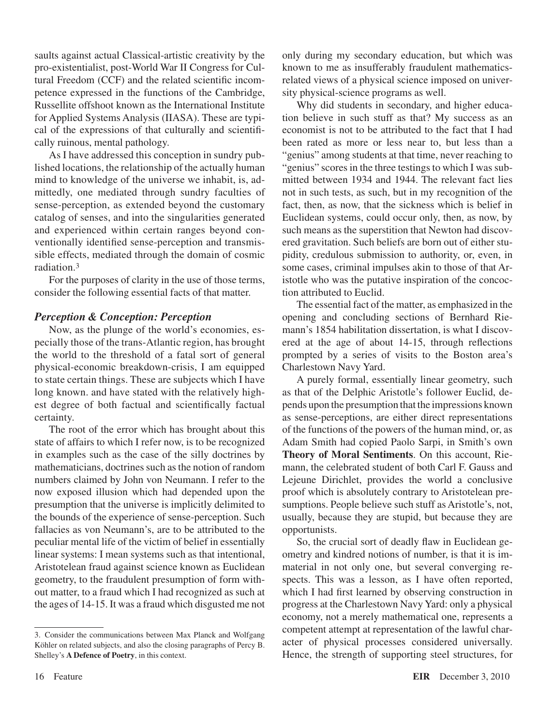saults against actual Classical-artistic creativity by the pro-existentialist, post-World War II Congress for Cultural Freedom (CCF) and the related scientific incompetence expressed in the functions of the Cambridge, Russellite offshoot known as the International Institute for Applied Systems Analysis (IIASA). These are typical of the expressions of that culturally and scientifically ruinous, mental pathology.

As I have addressed this conception in sundry published locations, the relationship of the actually human mind to knowledge of the universe we inhabit, is, admittedly, one mediated through sundry faculties of sense-perception, as extended beyond the customary catalog of senses, and into the singularities generated and experienced within certain ranges beyond conventionally identified sense-perception and transmissible effects, mediated through the domain of cosmic radiation.3

For the purposes of clarity in the use of those terms, consider the following essential facts of that matter.

#### *Perception & Conception: Perception*

Now, as the plunge of the world's economies, especially those of the trans-Atlantic region, has brought the world to the threshold of a fatal sort of general physical-economic breakdown-crisis, I am equipped to state certain things. These are subjects which I have long known. and have stated with the relatively highest degree of both factual and scientifically factual certainty.

The root of the error which has brought about this state of affairs to which I refer now, is to be recognized in examples such as the case of the silly doctrines by mathematicians, doctrines such as the notion of random numbers claimed by John von Neumann. I refer to the now exposed illusion which had depended upon the presumption that the universe is implicitly delimited to the bounds of the experience of sense-perception. Such fallacies as von Neumann's, are to be attributed to the peculiar mental life of the victim of belief in essentially linear systems: I mean systems such as that intentional, Aristotelean fraud against science known as Euclidean geometry, to the fraudulent presumption of form without matter, to a fraud which I had recognized as such at the ages of 14-15. It was a fraud which disgusted me not

3. Consider the communications between Max Planck and Wolfgang Köhler on related subjects, and also the closing paragraphs of Percy B. Shelley's **A Defence of Poetry**, in this context.

only during my secondary education, but which was known to me as insufferably fraudulent mathematicsrelated views of a physical science imposed on university physical-science programs as well.

Why did students in secondary, and higher education believe in such stuff as that? My success as an economist is not to be attributed to the fact that I had been rated as more or less near to, but less than a "genius" among students at that time, never reaching to "genius" scores in the three testings to which I was submitted between 1934 and 1944. The relevant fact lies not in such tests, as such, but in my recognition of the fact, then, as now, that the sickness which is belief in Euclidean systems, could occur only, then, as now, by such means as the superstition that Newton had discovered gravitation. Such beliefs are born out of either stupidity, credulous submission to authority, or, even, in some cases, criminal impulses akin to those of that Aristotle who was the putative inspiration of the concoction attributed to Euclid.

The essential fact of the matter, as emphasized in the opening and concluding sections of Bernhard Riemann's 1854 habilitation dissertation, is what I discovered at the age of about 14-15, through reflections prompted by a series of visits to the Boston area's Charlestown Navy Yard.

A purely formal, essentially linear geometry, such as that of the Delphic Aristotle's follower Euclid, depends upon the presumption that the impressions known as sense-perceptions, are either direct representations of the functions of the powers of the human mind, or, as Adam Smith had copied Paolo Sarpi, in Smith's own **Theory of Moral Sentiments**. On this account, Riemann, the celebrated student of both Carl F. Gauss and Lejeune Dirichlet, provides the world a conclusive proof which is absolutely contrary to Aristotelean presumptions. People believe such stuff as Aristotle's, not, usually, because they are stupid, but because they are opportunists.

So, the crucial sort of deadly flaw in Euclidean geometry and kindred notions of number, is that it is immaterial in not only one, but several converging respects. This was a lesson, as I have often reported, which I had first learned by observing construction in progress at the Charlestown Navy Yard: only a physical economy, not a merely mathematical one, represents a competent attempt at representation of the lawful character of physical processes considered universally. Hence, the strength of supporting steel structures, for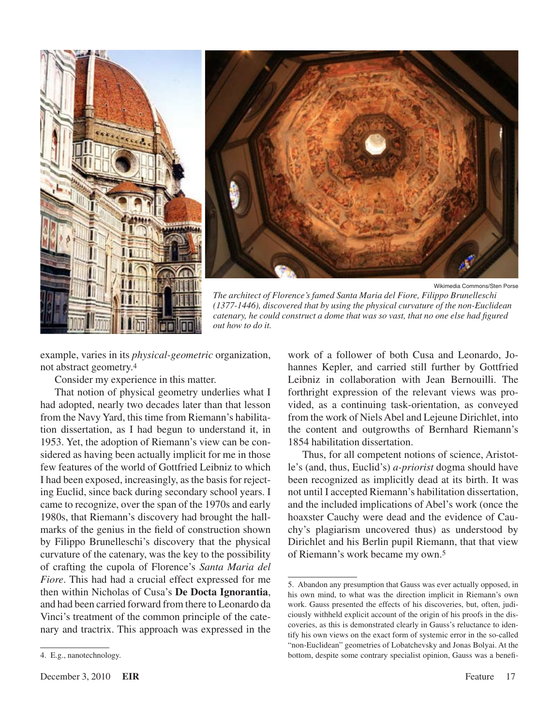



Wikimedia Commons/Sten Porse

*The architect of Florence's famed Santa Maria del Fiore, Filippo Brunelleschi (1377-1446), discovered that by using the physical curvature of the non-Euclidean catenary, he could construct a dome that was so vast, that no one else had figured out how to do it.*

example, varies in its *physical-geometric* organization, not abstract geometry.4

Consider my experience in this matter.

That notion of physical geometry underlies what I had adopted, nearly two decades later than that lesson from the Navy Yard, this time from Riemann's habilitation dissertation, as I had begun to understand it, in 1953. Yet, the adoption of Riemann's view can be considered as having been actually implicit for me in those few features of the world of Gottfried Leibniz to which I had been exposed, increasingly, as the basis for rejecting Euclid, since back during secondary school years. I came to recognize, over the span of the 1970s and early 1980s, that Riemann's discovery had brought the hallmarks of the genius in the field of construction shown by Filippo Brunelleschi's discovery that the physical curvature of the catenary, was the key to the possibility of crafting the cupola of Florence's *Santa Maria del Fiore*. This had had a crucial effect expressed for me then within Nicholas of Cusa's **De Docta Ignorantia**, and had been carried forward from there to Leonardo da Vinci's treatment of the common principle of the catenary and tractrix. This approach was expressed in the

Thus, for all competent notions of science, Aristotle's (and, thus, Euclid's) *a-priorist* dogma should have been recognized as implicitly dead at its birth. It was not until I accepted Riemann's habilitation dissertation, and the included implications of Abel's work (once the hoaxster Cauchy were dead and the evidence of Cauchy's plagiarism uncovered thus) as understood by Dirichlet and his Berlin pupil Riemann, that that view of Riemann's work became my own.5

work of a follower of both Cusa and Leonardo, Johannes Kepler, and carried still further by Gottfried Leibniz in collaboration with Jean Bernouilli. The forthright expression of the relevant views was provided, as a continuing task-orientation, as conveyed from the work of Niels Abel and Lejeune Dirichlet, into the content and outgrowths of Bernhard Riemann's 1854 habilitation dissertation.

<sup>5.</sup> Abandon any presumption that Gauss was ever actually opposed, in his own mind, to what was the direction implicit in Riemann's own work. Gauss presented the effects of his discoveries, but, often, judiciously withheld explicit account of the origin of his proofs in the discoveries, as this is demonstrated clearly in Gauss's reluctance to identify his own views on the exact form of systemic error in the so-called "non-Euclidean" geometries of Lobatchevsky and Jonas Bolyai. At the bottom, despite some contrary specialist opinion, Gauss was a benefi-

<sup>4.</sup> E.g., nanotechnology.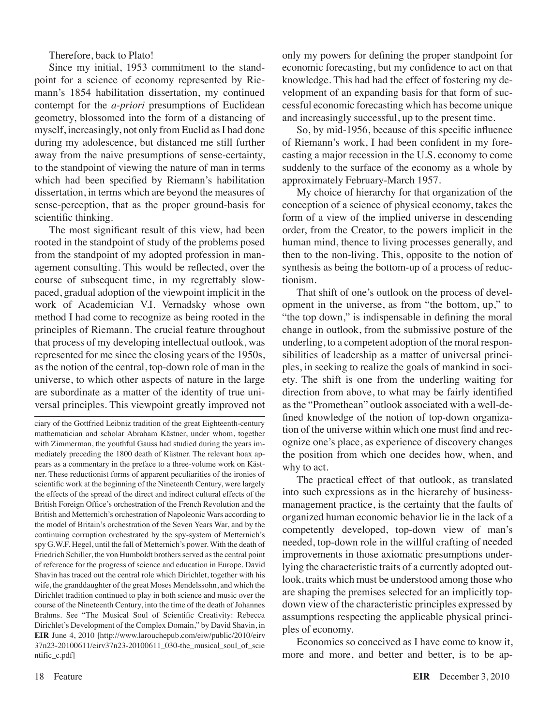Therefore, back to Plato!

Since my initial, 1953 commitment to the standpoint for a science of economy represented by Riemann's 1854 habilitation dissertation, my continued contempt for the *a-priori* presumptions of Euclidean geometry, blossomed into the form of a distancing of myself, increasingly, not only from Euclid as I had done during my adolescence, but distanced me still further away from the naive presumptions of sense-certainty, to the standpoint of viewing the nature of man in terms which had been specified by Riemann's habilitation dissertation, in terms which are beyond the measures of sense-perception, that as the proper ground-basis for scientific thinking.

The most significant result of this view, had been rooted in the standpoint of study of the problems posed from the standpoint of my adopted profession in management consulting. This would be reflected, over the course of subsequent time, in my regrettably slowpaced, gradual adoption of the viewpoint implicit in the work of Academician V.I. Vernadsky whose own method I had come to recognize as being rooted in the principles of Riemann. The crucial feature throughout that process of my developing intellectual outlook, was represented for me since the closing years of the 1950s, as the notion of the central, top-down role of man in the universe, to which other aspects of nature in the large are subordinate as a matter of the identity of true universal principles. This viewpoint greatly improved not only my powers for defining the proper standpoint for economic forecasting, but my confidence to act on that knowledge. This had had the effect of fostering my development of an expanding basis for that form of successful economic forecasting which has become unique and increasingly successful, up to the present time.

So, by mid-1956, because of this specific influence of Riemann's work, I had been confident in my forecasting a major recession in the U.S. economy to come suddenly to the surface of the economy as a whole by approximately February-March 1957.

My choice of hierarchy for that organization of the conception of a science of physical economy, takes the form of a view of the implied universe in descending order, from the Creator, to the powers implicit in the human mind, thence to living processes generally, and then to the non-living. This, opposite to the notion of synthesis as being the bottom-up of a process of reductionism.

That shift of one's outlook on the process of development in the universe, as from "the bottom, up," to "the top down," is indispensable in defining the moral change in outlook, from the submissive posture of the underling, to a competent adoption of the moral responsibilities of leadership as a matter of universal principles, in seeking to realize the goals of mankind in society. The shift is one from the underling waiting for direction from above, to what may be fairly identified as the "Promethean" outlook associated with a well-defined knowledge of the notion of top-down organization of the universe within which one must find and recognize one's place, as experience of discovery changes the position from which one decides how, when, and why to act.

The practical effect of that outlook, as translated into such expressions as in the hierarchy of businessmanagement practice, is the certainty that the faults of organized human economic behavior lie in the lack of a competently developed, top-down view of man's needed, top-down role in the willful crafting of needed improvements in those axiomatic presumptions underlying the characteristic traits of a currently adopted outlook, traits which must be understood among those who are shaping the premises selected for an implicitly topdown view of the characteristic principles expressed by assumptions respecting the applicable physical principles of economy.

Economics so conceived as I have come to know it, more and more, and better and better, is to be ap-

ciary of the Gottfried Leibniz tradition of the great Eighteenth-century mathematician and scholar Abraham Kästner, under whom, together with Zimmerman, the youthful Gauss had studied during the years immediately preceding the 1800 death of Kästner. The relevant hoax appears as a commentary in the preface to a three-volume work on Kästner. These reductionist forms of apparent peculiarities of the ironies of scientific work at the beginning of the Nineteenth Century, were largely the effects of the spread of the direct and indirect cultural effects of the British Foreign Office's orchestration of the French Revolution and the British and Metternich's orchestration of Napoleonic Wars according to the model of Britain's orchestration of the Seven Years War, and by the continuing corruption orchestrated by the spy-system of Metternich's spy G.W.F. Hegel, until the fall of Metternich's power. With the death of Friedrich Schiller, the von Humboldt brothers served as the central point of reference for the progress of science and education in Europe. David Shavin has traced out the central role which Dirichlet, together with his wife, the granddaughter of the great Moses Mendelssohn, and which the Dirichlet tradition continued to play in both science and music over the course of the Nineteenth Century, into the time of the death of Johannes Brahms. See "The Musical Soul of Scientific [Creativity:](http://www.larouchepub.com/eiw/public/2010/eirv37n23-20100611/eirv37n23-20100611_030-the_musical_soul_of_scientific_c.pdf) Rebecca Dirichlet's Development of the Complex Domain," by David Shavin, in **EIR** June 4, 2010 [http://www.larouchepub.com/eiw/public/2010/eirv [37n23-20100611/eirv37n23-20100611\\_030-the\\_musical\\_soul\\_of\\_scie](http://www.larouchepub.com/eiw/public/2010/eirv37n23-20100611/eirv37n23-20100611_030-the_musical_soul_of_scientific_c.pdf) ntific\_c.pdf]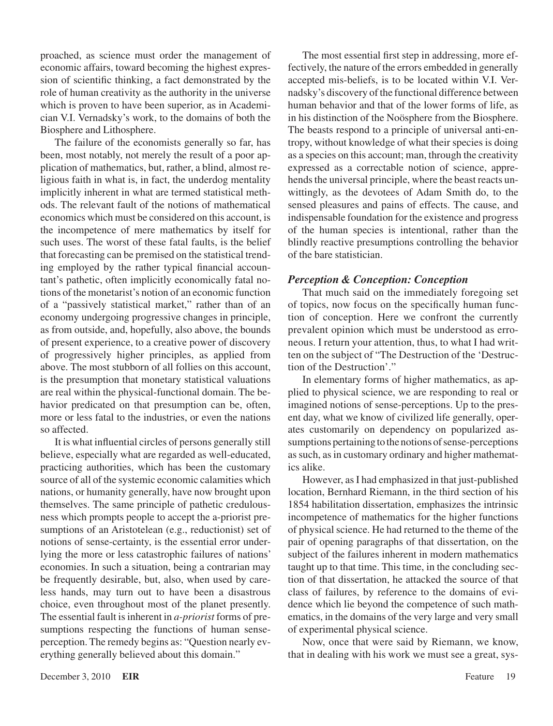proached, as science must order the management of economic affairs, toward becoming the highest expression of scientific thinking, a fact demonstrated by the role of human creativity as the authority in the universe which is proven to have been superior, as in Academician V.I. Vernadsky's work, to the domains of both the Biosphere and Lithosphere.

The failure of the economists generally so far, has been, most notably, not merely the result of a poor application of mathematics, but, rather, a blind, almost religious faith in what is, in fact, the underdog mentality implicitly inherent in what are termed statistical methods. The relevant fault of the notions of mathematical economics which must be considered on this account, is the incompetence of mere mathematics by itself for such uses. The worst of these fatal faults, is the belief that forecasting can be premised on the statistical trending employed by the rather typical financial accountant's pathetic, often implicitly economically fatal notions of the monetarist's notion of an economic function of a "passively statistical market," rather than of an economy undergoing progressive changes in principle, as from outside, and, hopefully, also above, the bounds of present experience, to a creative power of discovery of progressively higher principles, as applied from above. The most stubborn of all follies on this account, is the presumption that monetary statistical valuations are real within the physical-functional domain. The behavior predicated on that presumption can be, often, more or less fatal to the industries, or even the nations so affected.

It is what influential circles of persons generally still believe, especially what are regarded as well-educated, practicing authorities, which has been the customary source of all of the systemic economic calamities which nations, or humanity generally, have now brought upon themselves. The same principle of pathetic credulousness which prompts people to accept the a-priorist presumptions of an Aristotelean (e.g., reductionist) set of notions of sense-certainty, is the essential error underlying the more or less catastrophic failures of nations' economies. In such a situation, being a contrarian may be frequently desirable, but, also, when used by careless hands, may turn out to have been a disastrous choice, even throughout most of the planet presently. The essential fault is inherent in *a-priorist* forms of presumptions respecting the functions of human senseperception. The remedy begins as: "Question nearly everything generally believed about this domain."

The most essential first step in addressing, more effectively, the nature of the errors embedded in generally accepted mis-beliefs, is to be located within V.I. Vernadsky's discovery of the functional difference between human behavior and that of the lower forms of life, as in his distinction of the Noösphere from the Biosphere. The beasts respond to a principle of universal anti-entropy, without knowledge of what their species is doing as a species on this account; man, through the creativity expressed as a correctable notion of science, apprehends the universal principle, where the beast reacts unwittingly, as the devotees of Adam Smith do, to the sensed pleasures and pains of effects. The cause, and indispensable foundation for the existence and progress of the human species is intentional, rather than the blindly reactive presumptions controlling the behavior of the bare statistician.

#### *Perception & Conception: Conception*

That much said on the immediately foregoing set of topics, now focus on the specifically human function of conception. Here we confront the currently prevalent opinion which must be understood as erroneous. I return your attention, thus, to what I had written on the subject of "The Destruction of the 'Destruction of the Destruction'."

In elementary forms of higher mathematics, as applied to physical science, we are responding to real or imagined notions of sense-perceptions. Up to the present day, what we know of civilized life generally, operates customarily on dependency on popularized assumptions pertaining to the notions of sense-perceptions as such, as in customary ordinary and higher mathematics alike.

However, as I had emphasized in that just-published location, Bernhard Riemann, in the third section of his 1854 habilitation dissertation, emphasizes the intrinsic incompetence of mathematics for the higher functions of physical science. He had returned to the theme of the pair of opening paragraphs of that dissertation, on the subject of the failures inherent in modern mathematics taught up to that time. This time, in the concluding section of that dissertation, he attacked the source of that class of failures, by reference to the domains of evidence which lie beyond the competence of such mathematics, in the domains of the very large and very small of experimental physical science.

Now, once that were said by Riemann, we know, that in dealing with his work we must see a great, sys-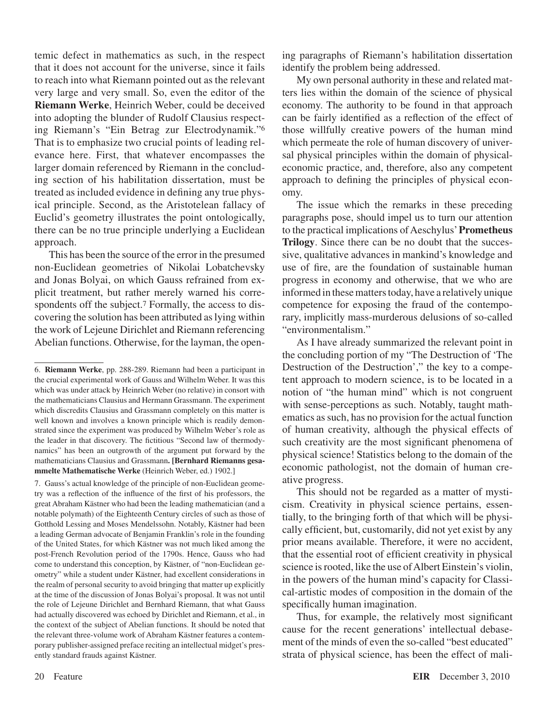temic defect in mathematics as such, in the respect that it does not account for the universe, since it fails to reach into what Riemann pointed out as the relevant very large and very small. So, even the editor of the **Riemann Werke**, Heinrich Weber, could be deceived into adopting the blunder of Rudolf Clausius respecting Riemann's "Ein Betrag zur Electrodynamik."6 That is to emphasize two crucial points of leading relevance here. First, that whatever encompasses the larger domain referenced by Riemann in the concluding section of his habilitation dissertation, must be treated as included evidence in defining any true physical principle. Second, as the Aristotelean fallacy of Euclid's geometry illustrates the point ontologically, there can be no true principle underlying a Euclidean approach.

This has been the source of the error in the presumed non-Euclidean geometries of Nikolai Lobatchevsky and Jonas Bolyai, on which Gauss refrained from explicit treatment, but rather merely warned his correspondents off the subject.<sup>7</sup> Formally, the access to discovering the solution has been attributed as lying within the work of Lejeune Dirichlet and Riemann referencing Abelian functions. Otherwise, for the layman, the open-

. Gauss's actual knowledge of the principle of non-Euclidean geometry was a reflection of the influence of the first of his professors, the great Abraham Kästner who had been the leading mathematician (and a notable polymath) of the Eighteenth Century circles of such as those of Gotthold Lessing and Moses Mendelssohn. Notably, Kästner had been a leading German advocate of Benjamin Franklin's role in the founding of the United States, for which Kästner was not much liked among the post-French Revolution period of the 1790s. Hence, Gauss who had come to understand this conception, by Kästner, of "non-Euclidean geometry" while a student under Kästner, had excellent considerations in the realm of personal security to avoid bringing that matter up explicitly at the time of the discussion of Jonas Bolyai's proposal. It was not until the role of Lejeune Dirichlet and Bernhard Riemann, that what Gauss had actually discovered was echoed by Dirichlet and Riemann, et al., in the context of the subject of Abelian functions. It should be noted that the relevant three-volume work of Abraham Kästner features a contemporary publisher-assigned preface reciting an intellectual midget's presently standard frauds against Kästner.

ing paragraphs of Riemann's habilitation dissertation identify the problem being addressed.

My own personal authority in these and related matters lies within the domain of the science of physical economy. The authority to be found in that approach can be fairly identified as a reflection of the effect of those willfully creative powers of the human mind which permeate the role of human discovery of universal physical principles within the domain of physicaleconomic practice, and, therefore, also any competent approach to defining the principles of physical economy.

The issue which the remarks in these preceding paragraphs pose, should impel us to turn our attention to the practical implications of Aeschylus' **Prometheus Trilogy**. Since there can be no doubt that the successive, qualitative advances in mankind's knowledge and use of fire, are the foundation of sustainable human progress in economy and otherwise, that we who are informed in these matters today, have a relatively unique competence for exposing the fraud of the contemporary, implicitly mass-murderous delusions of so-called "environmentalism."

As I have already summarized the relevant point in the concluding portion of my "The Destruction of 'The Destruction of the Destruction'," the key to a competent approach to modern science, is to be located in a notion of "the human mind" which is not congruent with sense-perceptions as such. Notably, taught mathematics as such, has no provision for the actual function of human creativity, although the physical effects of such creativity are the most significant phenomena of physical science! Statistics belong to the domain of the economic pathologist, not the domain of human creative progress.

This should not be regarded as a matter of mysticism. Creativity in physical science pertains, essentially, to the bringing forth of that which will be physically efficient, but, customarily, did not yet exist by any prior means available. Therefore, it were no accident, that the essential root of efficient creativity in physical science is rooted, like the use of Albert Einstein's violin, in the powers of the human mind's capacity for Classical-artistic modes of composition in the domain of the specifically human imagination.

Thus, for example, the relatively most significant cause for the recent generations' intellectual debasement of the minds of even the so-called "best educated" strata of physical science, has been the effect of mali-

<sup>6.</sup> **Riemann Werke**, pp. 288-289. Riemann had been a participant in the crucial experimental work of Gauss and Wilhelm Weber. It was this which was under attack by Heinrich Weber (no relative) in consort with the mathematicians Clausius and Hermann Grassmann. The experiment which discredits Clausius and Grassmann completely on this matter is well known and involves a known principle which is readily demonstrated since the experiment was produced by Wilhelm Weber's role as the leader in that discovery. The fictitious "Second law of thermodynamics" has been an outgrowth of the argument put forward by the mathematicians Clausius and Grassmann**. [Bernhard Riemanns gesammelte Mathematische Werke** (Heinrich Weber, ed.) 1902.]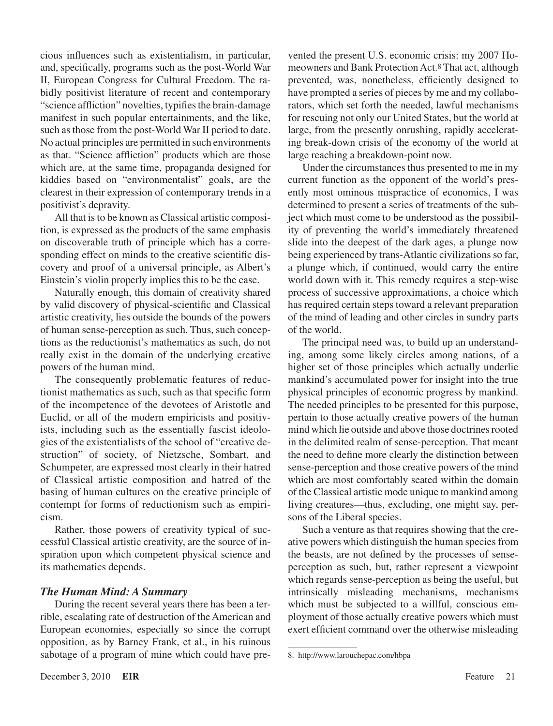cious influences such as existentialism, in particular, and, specifically, programs such as the post-World War II, European Congress for Cultural Freedom. The rabidly positivist literature of recent and contemporary "science affliction" novelties, typifies the brain-damage manifest in such popular entertainments, and the like, such as those from the post-World War II period to date. No actual principles are permitted in such environments as that. "Science affliction" products which are those which are, at the same time, propaganda designed for kiddies based on "environmentalist" goals, are the clearest in their expression of contemporary trends in a positivist's depravity.

All that is to be known as Classical artistic composition, is expressed as the products of the same emphasis on discoverable truth of principle which has a corresponding effect on minds to the creative scientific discovery and proof of a universal principle, as Albert's Einstein's violin properly implies this to be the case.

Naturally enough, this domain of creativity shared by valid discovery of physical-scientific and Classical artistic creativity, lies outside the bounds of the powers of human sense-perception as such. Thus, such conceptions as the reductionist's mathematics as such, do not really exist in the domain of the underlying creative powers of the human mind.

The consequently problematic features of reductionist mathematics as such, such as that specific form of the incompetence of the devotees of Aristotle and Euclid, or all of the modern empiricists and positivists, including such as the essentially fascist ideologies of the existentialists of the school of "creative destruction" of society, of Nietzsche, Sombart, and Schumpeter, are expressed most clearly in their hatred of Classical artistic composition and hatred of the basing of human cultures on the creative principle of contempt for forms of reductionism such as empiricism.

Rather, those powers of creativity typical of successful Classical artistic creativity, are the source of inspiration upon which competent physical science and its mathematics depends.

#### *The Human Mind: A Summary*

During the recent several years there has been a terrible, escalating rate of destruction of the American and European economies, especially so since the corrupt opposition, as by Barney Frank, et al., in his ruinous sabotage of a program of mine which could have prevented the present U.S. economic crisis: my 2007 Homeowners and Bank Protection Act.<sup>8</sup> That act, although prevented, was, nonetheless, efficiently designed to have prompted a series of pieces by me and my collaborators, which set forth the needed, lawful mechanisms for rescuing not only our United States, but the world at large, from the presently onrushing, rapidly accelerating break-down crisis of the economy of the world at large reaching a breakdown-point now.

Under the circumstances thus presented to me in my current function as the opponent of the world's presently most ominous mispractice of economics, I was determined to present a series of treatments of the subject which must come to be understood as the possibility of preventing the world's immediately threatened slide into the deepest of the dark ages, a plunge now being experienced by trans-Atlantic civilizations so far, a plunge which, if continued, would carry the entire world down with it. This remedy requires a step-wise process of successive approximations, a choice which has required certain steps toward a relevant preparation of the mind of leading and other circles in sundry parts of the world.

The principal need was, to build up an understanding, among some likely circles among nations, of a higher set of those principles which actually underlie mankind's accumulated power for insight into the true physical principles of economic progress by mankind. The needed principles to be presented for this purpose, pertain to those actually creative powers of the human mind which lie outside and above those doctrines rooted in the delimited realm of sense-perception. That meant the need to define more clearly the distinction between sense-perception and those creative powers of the mind which are most comfortably seated within the domain of the Classical artistic mode unique to mankind among living creatures—thus, excluding, one might say, persons of the Liberal species.

Such a venture as that requires showing that the creative powers which distinguish the human species from the beasts, are not defined by the processes of senseperception as such, but, rather represent a viewpoint which regards sense-perception as being the useful, but intrinsically misleading mechanisms, mechanisms which must be subjected to a willful, conscious employment of those actually creative powers which must exert efficient command over the otherwise misleading

<sup>.</sup> http://www.larouchepac.com/hbpa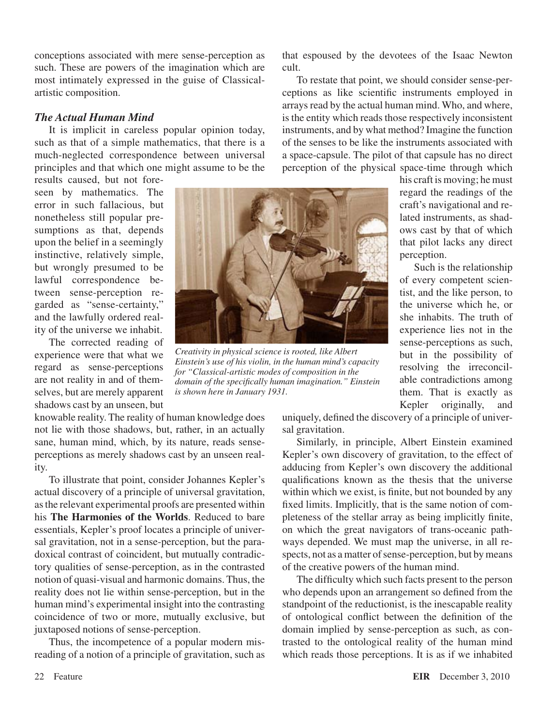conceptions associated with mere sense-perception as such. These are powers of the imagination which are most intimately expressed in the guise of Classicalartistic composition.

#### *The Actual Human Mind*

It is implicit in careless popular opinion today, such as that of a simple mathematics, that there is a much-neglected correspondence between universal principles and that which one might assume to be the

results caused, but not foreseen by mathematics. The error in such fallacious, but nonetheless still popular presumptions as that, depends upon the belief in a seemingly instinctive, relatively simple, but wrongly presumed to be lawful correspondence between sense-perception regarded as "sense-certainty," and the lawfully ordered reality of the universe we inhabit.

The corrected reading of experience were that what we regard as sense-perceptions are not reality in and of themselves, but are merely apparent shadows cast by an unseen, but

knowable reality. The reality of human knowledge does not lie with those shadows, but, rather, in an actually sane, human mind, which, by its nature, reads senseperceptions as merely shadows cast by an unseen reality.

To illustrate that point, consider Johannes Kepler's actual discovery of a principle of universal gravitation, as the relevant experimental proofs are presented within his **The Harmonies of the Worlds**. Reduced to bare essentials, Kepler's proof locates a principle of universal gravitation, not in a sense-perception, but the paradoxical contrast of coincident, but mutually contradictory qualities of sense-perception, as in the contrasted notion of quasi-visual and harmonic domains. Thus, the reality does not lie within sense-perception, but in the human mind's experimental insight into the contrasting coincidence of two or more, mutually exclusive, but juxtaposed notions of sense-perception.

Thus, the incompetence of a popular modern misreading of a notion of a principle of gravitation, such as that espoused by the devotees of the Isaac Newton cult.

To restate that point, we should consider sense-perceptions as like scientific instruments employed in arrays read by the actual human mind. Who, and where, is the entity which reads those respectively inconsistent instruments, and by what method? Imagine the function of the senses to be like the instruments associated with a space-capsule. The pilot of that capsule has no direct perception of the physical space-time through which



*Creativity in physical science is rooted, like Albert Einstein's use of his violin, in the human mind's capacity for "Classical-artistic modes of composition in the domain of the specifically human imagination." Einstein is shown here in January 1931.*

his craft is moving; he must regard the readings of the craft's navigational and related instruments, as shadows cast by that of which that pilot lacks any direct perception.

Such is the relationship of every competent scientist, and the like person, to the universe which he, or she inhabits. The truth of experience lies not in the sense-perceptions as such, but in the possibility of resolving the irreconcilable contradictions among them. That is exactly as Kepler originally, and

uniquely, defined the discovery of a principle of universal gravitation.

Similarly, in principle, Albert Einstein examined Kepler's own discovery of gravitation, to the effect of adducing from Kepler's own discovery the additional qualifications known as the thesis that the universe within which we exist, is finite, but not bounded by any fixed limits. Implicitly, that is the same notion of completeness of the stellar array as being implicitly finite, on which the great navigators of trans-oceanic pathways depended. We must map the universe, in all respects, not as a matter of sense-perception, but by means of the creative powers of the human mind.

The difficulty which such facts present to the person who depends upon an arrangement so defined from the standpoint of the reductionist, is the inescapable reality of ontological conflict between the definition of the domain implied by sense-perception as such, as contrasted to the ontological reality of the human mind which reads those perceptions. It is as if we inhabited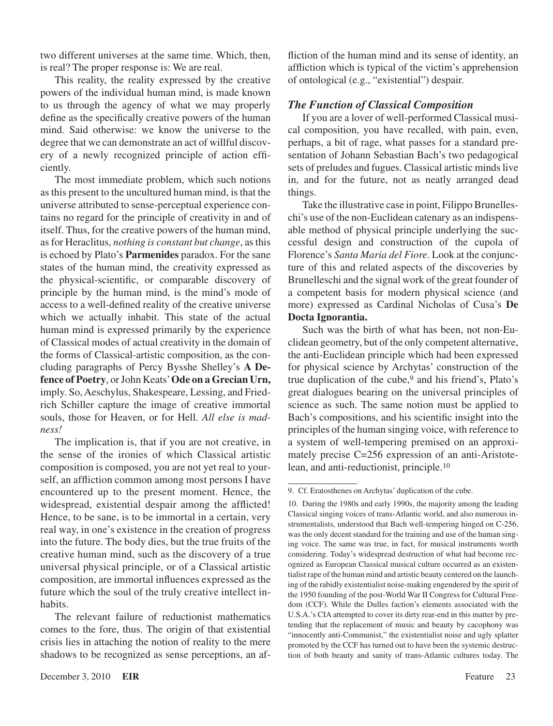two different universes at the same time. Which, then, is real? The proper response is: We are real.

This reality, the reality expressed by the creative powers of the individual human mind, is made known to us through the agency of what we may properly define as the specifically creative powers of the human mind. Said otherwise: we know the universe to the degree that we can demonstrate an act of willful discovery of a newly recognized principle of action efficiently.

The most immediate problem, which such notions as this present to the uncultured human mind, is that the universe attributed to sense-perceptual experience contains no regard for the principle of creativity in and of itself. Thus, for the creative powers of the human mind, as for Heraclitus, *nothing is constant but change*, as this is echoed by Plato's **Parmenides** paradox. For the sane states of the human mind, the creativity expressed as the physical-scientific, or comparable discovery of principle by the human mind, is the mind's mode of access to a well-defined reality of the creative universe which we actually inhabit. This state of the actual human mind is expressed primarily by the experience of Classical modes of actual creativity in the domain of the forms of Classical-artistic composition, as the concluding paragraphs of Percy Bysshe Shelley's **A Defence of Poetry**, or John Keats' **Ode on a Grecian Urn,**  imply. So, Aeschylus, Shakespeare, Lessing, and Friedrich Schiller capture the image of creative immortal souls, those for Heaven, or for Hell. *All else is madness!*

The implication is, that if you are not creative, in the sense of the ironies of which Classical artistic composition is composed, you are not yet real to yourself, an affliction common among most persons I have encountered up to the present moment. Hence, the widespread, existential despair among the afflicted! Hence, to be sane, is to be immortal in a certain, very real way, in one's existence in the creation of progress into the future. The body dies, but the true fruits of the creative human mind, such as the discovery of a true universal physical principle, or of a Classical artistic composition, are immortal influences expressed as the future which the soul of the truly creative intellect inhabits.

The relevant failure of reductionist mathematics comes to the fore, thus. The origin of that existential crisis lies in attaching the notion of reality to the mere shadows to be recognized as sense perceptions, an affliction of the human mind and its sense of identity, an affliction which is typical of the victim's apprehension of ontological (e.g., "existential") despair.

#### *The Function of Classical Composition*

If you are a lover of well-performed Classical musical composition, you have recalled, with pain, even, perhaps, a bit of rage, what passes for a standard presentation of Johann Sebastian Bach's two pedagogical sets of preludes and fugues. Classical artistic minds live in, and for the future, not as neatly arranged dead things.

Take the illustrative case in point, Filippo Brunelleschi's use of the non-Euclidean catenary as an indispensable method of physical principle underlying the successful design and construction of the cupola of Florence's *Santa Maria del Fiore*. Look at the conjuncture of this and related aspects of the discoveries by Brunelleschi and the signal work of the great founder of a competent basis for modern physical science (and more) expressed as Cardinal Nicholas of Cusa's **De Docta Ignorantia.**

Such was the birth of what has been, not non-Euclidean geometry, but of the only competent alternative, the anti-Euclidean principle which had been expressed for physical science by Archytas' construction of the true duplication of the cube,<sup>9</sup> and his friend's, Plato's great dialogues bearing on the universal principles of science as such. The same notion must be applied to Bach's compositions, and his scientific insight into the principles of the human singing voice, with reference to a system of well-tempering premised on an approximately precise C=256 expression of an anti-Aristotelean, and anti-reductionist, principle.10

<sup>.</sup> Cf. Eratosthenes on Archytas' duplication of the cube.

<sup>10.</sup> During the 1980s and early 1990s, the majority among the leading Classical singing voices of trans-Atlantic world, and also numerous instrumentalists, understood that Bach well-tempering hinged on C-256, was the only decent standard for the training and use of the human singing voice. The same was true, in fact, for musical instruments worth considering. Today's widespread destruction of what had become recognized as European Classical musical culture occurred as an existentialist rape of the human mind and artistic beauty centered on the launching of the rabidly existentialist noise-making engendered by the spirit of the 1950 founding of the post-World War II Congress for Cultural Freedom (CCF). While the Dulles faction's elements associated with the U.S.A.'s CIA attempted to cover its dirty rear-end in this matter by pretending that the replacement of music and beauty by cacophony was "innocently anti-Communist," the existentialist noise and ugly splatter promoted by the CCF has turned out to have been the systemic destruction of both beauty and sanity of trans-Atlantic cultures today. The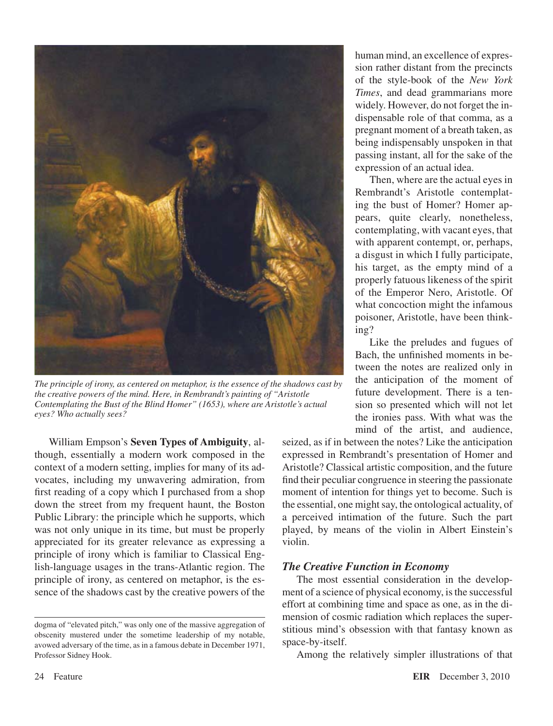

*The principle of irony, as centered on metaphor, is the essence of the shadows cast by the creative powers of the mind. Here, in Rembrandt's painting of "Aristotle Contemplating the Bust of the Blind Homer" (1653), where are Aristotle's actual eyes? Who actually sees?*

William Empson's **Seven Types of Ambiguity**, although, essentially a modern work composed in the context of a modern setting, implies for many of its advocates, including my unwavering admiration, from first reading of a copy which I purchased from a shop down the street from my frequent haunt, the Boston Public Library: the principle which he supports, which was not only unique in its time, but must be properly appreciated for its greater relevance as expressing a principle of irony which is familiar to Classical English-language usages in the trans-Atlantic region. The principle of irony, as centered on metaphor, is the essence of the shadows cast by the creative powers of the

human mind, an excellence of expression rather distant from the precincts of the style-book of the *New York Times*, and dead grammarians more widely. However, do not forget the indispensable role of that comma, as a pregnant moment of a breath taken, as being indispensably unspoken in that passing instant, all for the sake of the expression of an actual idea.

Then, where are the actual eyes in Rembrandt's Aristotle contemplating the bust of Homer? Homer appears, quite clearly, nonetheless, contemplating, with vacant eyes, that with apparent contempt, or, perhaps, a disgust in which I fully participate, his target, as the empty mind of a properly fatuous likeness of the spirit of the Emperor Nero, Aristotle. Of what concoction might the infamous poisoner, Aristotle, have been thinking?

Like the preludes and fugues of Bach, the unfinished moments in between the notes are realized only in the anticipation of the moment of future development. There is a tension so presented which will not let the ironies pass. With what was the mind of the artist, and audience,

seized, as if in between the notes? Like the anticipation expressed in Rembrandt's presentation of Homer and Aristotle? Classical artistic composition, and the future find their peculiar congruence in steering the passionate moment of intention for things yet to become. Such is the essential, one might say, the ontological actuality, of a perceived intimation of the future. Such the part played, by means of the violin in Albert Einstein's violin.

#### *The Creative Function in Economy*

The most essential consideration in the development of a science of physical economy, is the successful effort at combining time and space as one, as in the dimension of cosmic radiation which replaces the superstitious mind's obsession with that fantasy known as space-by-itself.

Among the relatively simpler illustrations of that

dogma of "elevated pitch," was only one of the massive aggregation of obscenity mustered under the sometime leadership of my notable, avowed adversary of the time, as in a famous debate in December 1971, Professor Sidney Hook.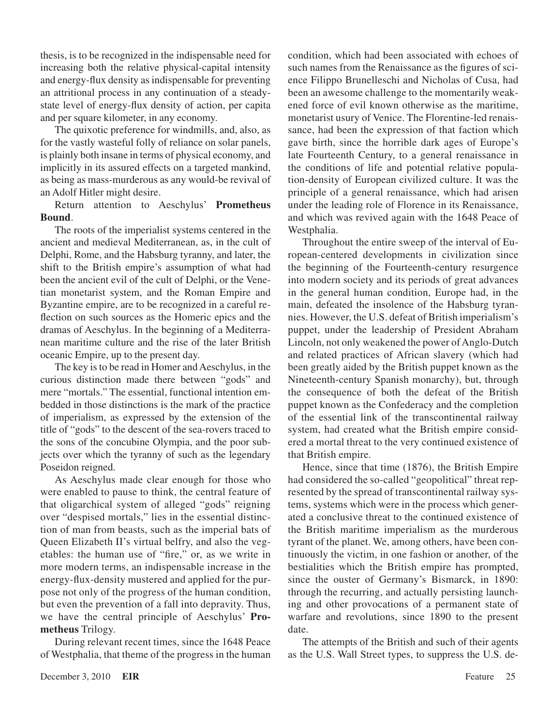thesis, is to be recognized in the indispensable need for increasing both the relative physical-capital intensity and energy-flux density as indispensable for preventing an attritional process in any continuation of a steadystate level of energy-flux density of action, per capita and per square kilometer, in any economy.

The quixotic preference for windmills, and, also, as for the vastly wasteful folly of reliance on solar panels, is plainly both insane in terms of physical economy, and implicitly in its assured effects on a targeted mankind, as being as mass-murderous as any would-be revival of an Adolf Hitler might desire.

Return attention to Aeschylus' **Prometheus Bound**.

The roots of the imperialist systems centered in the ancient and medieval Mediterranean, as, in the cult of Delphi, Rome, and the Habsburg tyranny, and later, the shift to the British empire's assumption of what had been the ancient evil of the cult of Delphi, or the Venetian monetarist system, and the Roman Empire and Byzantine empire, are to be recognized in a careful reflection on such sources as the Homeric epics and the dramas of Aeschylus. In the beginning of a Mediterranean maritime culture and the rise of the later British oceanic Empire, up to the present day.

The key is to be read in Homer and Aeschylus, in the curious distinction made there between "gods" and mere "mortals." The essential, functional intention embedded in those distinctions is the mark of the practice of imperialism, as expressed by the extension of the title of "gods" to the descent of the sea-rovers traced to the sons of the concubine Olympia, and the poor subjects over which the tyranny of such as the legendary Poseidon reigned.

As Aeschylus made clear enough for those who were enabled to pause to think, the central feature of that oligarchical system of alleged "gods" reigning over "despised mortals," lies in the essential distinction of man from beasts, such as the imperial bats of Queen Elizabeth II's virtual belfry, and also the vegetables: the human use of "fire," or, as we write in more modern terms, an indispensable increase in the energy-flux-density mustered and applied for the purpose not only of the progress of the human condition, but even the prevention of a fall into depravity. Thus, we have the central principle of Aeschylus' **Prometheus** Trilogy.

During relevant recent times, since the 1648 Peace of Westphalia, that theme of the progress in the human

condition, which had been associated with echoes of such names from the Renaissance as the figures of science Filippo Brunelleschi and Nicholas of Cusa, had been an awesome challenge to the momentarily weakened force of evil known otherwise as the maritime, monetarist usury of Venice. The Florentine-led renaissance, had been the expression of that faction which gave birth, since the horrible dark ages of Europe's late Fourteenth Century, to a general renaissance in the conditions of life and potential relative population-density of European civilized culture. It was the principle of a general renaissance, which had arisen under the leading role of Florence in its Renaissance, and which was revived again with the 1648 Peace of Westphalia.

Throughout the entire sweep of the interval of European-centered developments in civilization since the beginning of the Fourteenth-century resurgence into modern society and its periods of great advances in the general human condition, Europe had, in the main, defeated the insolence of the Habsburg tyrannies. However, the U.S. defeat of British imperialism's puppet, under the leadership of President Abraham Lincoln, not only weakened the power of Anglo-Dutch and related practices of African slavery (which had been greatly aided by the British puppet known as the Nineteenth-century Spanish monarchy), but, through the consequence of both the defeat of the British puppet known as the Confederacy and the completion of the essential link of the transcontinental railway system, had created what the British empire considered a mortal threat to the very continued existence of that British empire.

Hence, since that time (1876), the British Empire had considered the so-called "geopolitical" threat represented by the spread of transcontinental railway systems, systems which were in the process which generated a conclusive threat to the continued existence of the British maritime imperialism as the murderous tyrant of the planet. We, among others, have been continuously the victim, in one fashion or another, of the bestialities which the British empire has prompted, since the ouster of Germany's Bismarck, in 1890: through the recurring, and actually persisting launching and other provocations of a permanent state of warfare and revolutions, since 1890 to the present date.

The attempts of the British and such of their agents as the U.S. Wall Street types, to suppress the U.S. de-